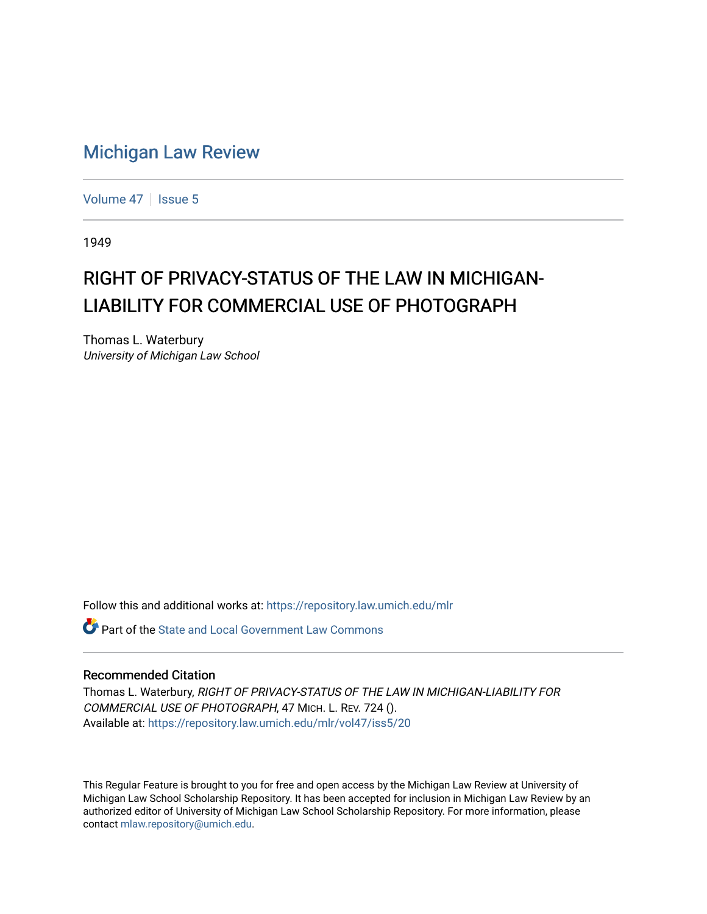## [Michigan Law Review](https://repository.law.umich.edu/mlr)

[Volume 47](https://repository.law.umich.edu/mlr/vol47) | [Issue 5](https://repository.law.umich.edu/mlr/vol47/iss5)

1949

# RIGHT OF PRIVACY-STATUS OF THE LAW IN MICHIGAN-LIABILITY FOR COMMERCIAL USE OF PHOTOGRAPH

Thomas L. Waterbury University of Michigan Law School

Follow this and additional works at: [https://repository.law.umich.edu/mlr](https://repository.law.umich.edu/mlr?utm_source=repository.law.umich.edu%2Fmlr%2Fvol47%2Fiss5%2F20&utm_medium=PDF&utm_campaign=PDFCoverPages) 

**P** Part of the [State and Local Government Law Commons](http://network.bepress.com/hgg/discipline/879?utm_source=repository.law.umich.edu%2Fmlr%2Fvol47%2Fiss5%2F20&utm_medium=PDF&utm_campaign=PDFCoverPages)

### Recommended Citation

Thomas L. Waterbury, RIGHT OF PRIVACY-STATUS OF THE LAW IN MICHIGAN-LIABILITY FOR COMMERCIAL USE OF PHOTOGRAPH, 47 MICH. L. REV. 724 (). Available at: [https://repository.law.umich.edu/mlr/vol47/iss5/20](https://repository.law.umich.edu/mlr/vol47/iss5/20?utm_source=repository.law.umich.edu%2Fmlr%2Fvol47%2Fiss5%2F20&utm_medium=PDF&utm_campaign=PDFCoverPages) 

This Regular Feature is brought to you for free and open access by the Michigan Law Review at University of Michigan Law School Scholarship Repository. It has been accepted for inclusion in Michigan Law Review by an authorized editor of University of Michigan Law School Scholarship Repository. For more information, please contact [mlaw.repository@umich.edu](mailto:mlaw.repository@umich.edu).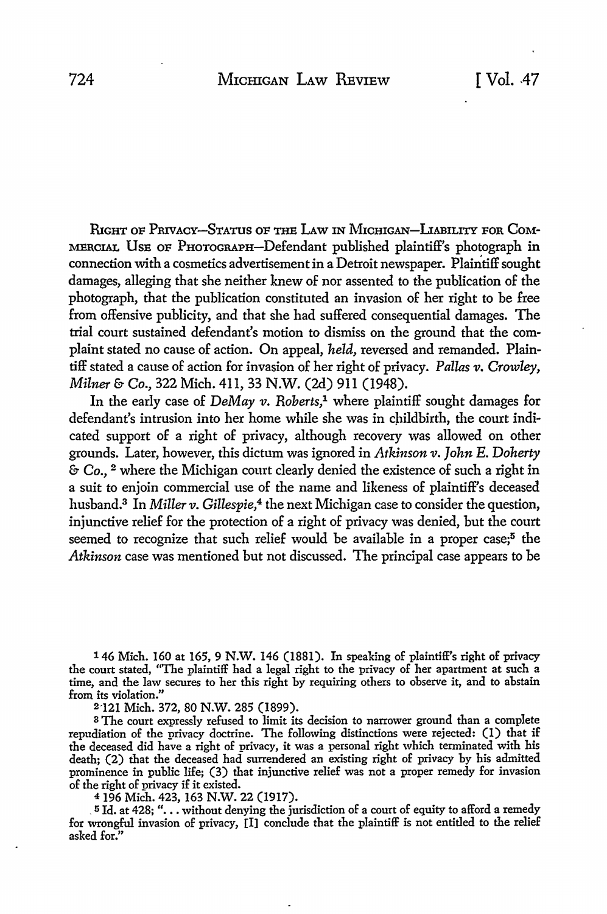RIGHT OF PRIVACY-STATUS OF THE LAW IN MICHIGAN-LIABILITY FOR COM-MERCIAL USE OF PHOTOGRAPH-Defendant published plaintiff's photograph in connection with a cosmetics advertisement in a Detroit newspaper. Plaintiff sought damages, alleging that she neither knew of nor assented to the publication of the photograph, that the publication constituted an invasion of her right to be free from offensive publicity, and that she had suffered consequential damages. The trial court sustained defendant's motion to dismiss on the ground that the complaint stated no cause of action. On appeal, *held,* reversed and remanded. Plaintiff stated a cause of action for invasion of her right of privacy. *Pallas v. Crowley, Milner* & Co., 322 Mich. 411, 33 N.W. (2d) 911 (1948).

In the early case of *DeMay v. Roberts*,<sup>1</sup> where plaintiff sought damages for defendant's intrusion into her home while she was in childbirth, the court indicated support of a right of privacy, although recovery was allowed on other grounds. Later, however, this dictum was ignored in *Atkinson v. John E. Doherty*  & Co., 2 where the Michigan court clearly denied the existence of such a right in a suit to enjoin commercial use of the name and likeness of plaintiff's deceased husband.<sup>3</sup> In *Miller v. Gillespie*,<sup>4</sup> the next Michigan case to consider the question, injunctive relief for the protection of a right of privacy was denied, but the court seemed to recognize that such relief would be available in a proper case;<sup>5</sup> the *Atkinson* case was mentioned but not discussed. The principal case appears to be

146 Mich. 160 at 165, 9 N.W. 146 (1881). In speaking of plaintiff's right of privacy the court stated, "The plaintiff had a legal right to the privacy of her apartment at such a time, and the law secures to her this right by requiring others to observe it, and to abstain from its violation."

2-121 Mich. 372, 80 N.W. 285 (1899).

<sup>3</sup>The court expressly refused to limit its decision to narrower ground than a complete repudiation of the privacy doctrine. The following distinctions were rejected: (1) that if the deceased did have a right of privacy, it was a personal right which terminated with his death; (2) that the deceased had surrendered an existing right of privacy by his admitted prominence in public life; (3) that injunctive relief was not a proper remedy for invasion of the right of privacy if it existed.

4196 Mich. 423, 163 N.W. 22 (1917).

\_ 5 Id. at 428; " .•. without denying the jurisdiction of a court of equity to afford a remedy for wrongful invasion of privacy, [I] conclude that the plaintiff is not entitled to the relief asked for."